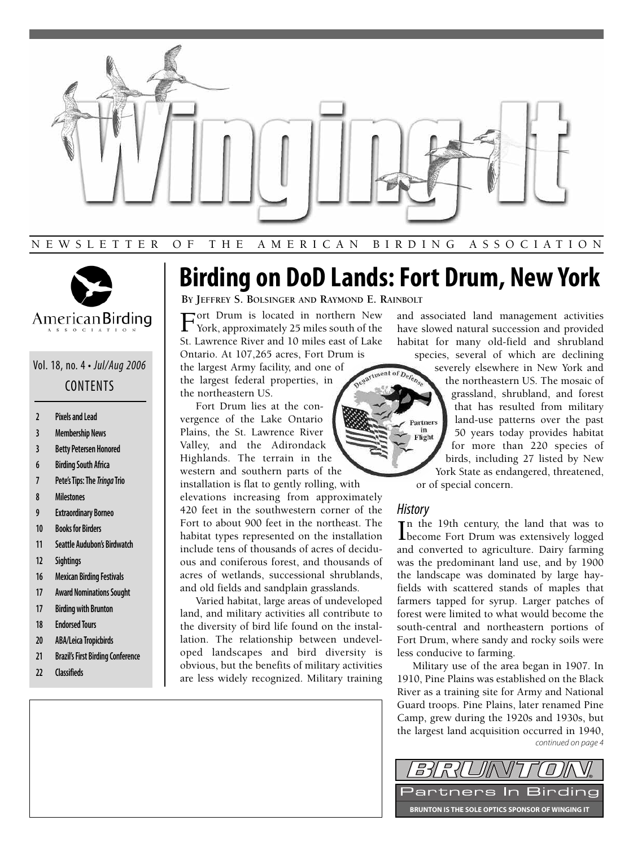



## Vol. 18, no. 4 • Jul/Aug 2006 CONTENTS

- **2 Pixels and Lead**
- **3 Membership News**
- **3 Betty Petersen Honored**
- **6 Birding South Africa**
- **7 Pete's Tips: The Tringa Trio**
- **8 Milestones**
- **9 Extraordinary Borneo**
- **10 Books for Birders**
- **11 Seattle Audubon's Birdwatch**
- **12 Sightings**
- **16 Mexican Birding Festivals**
- **17 Award Nominations Sought**
- **17 Birding with Brunton**
- **18 Endorsed Tours**
- **20 ABA/Leica Tropicbirds**
- **21 Brazil's First Birding Conference**
- **22 Classifieds**

# **Birding on DoD Lands: Fort Drum, New York**

tment of Defen

**BY JEFFREY S. BOLSINGER AND RAYMOND E. RAINBOLT**

Fort Drum is located in northern New<br>York, approximately 25 miles south of the St. Lawrence River and 10 miles east of Lake Ontario. At 107,265 acres, Fort Drum is

the largest Army facility, and one of the largest federal properties, in the northeastern US.

Fort Drum lies at the convergence of the Lake Ontario Plains, the St. Lawrence River Valley, and the Adirondack Highlands. The terrain in the

western and southern parts of the installation is flat to gently rolling, with

elevations increasing from approximately 420 feet in the southwestern corner of the Fort to about 900 feet in the northeast. The habitat types represented on the installation include tens of thousands of acres of deciduous and coniferous forest, and thousands of acres of wetlands, successional shrublands, and old fields and sandplain grasslands.

Varied habitat, large areas of undeveloped land, and military activities all contribute to the diversity of bird life found on the installation. The relationship between undeveloped landscapes and bird diversity is obvious, but the benefits of military activities are less widely recognized. Military training and associated land management activities have slowed natural succession and provided habitat for many old-field and shrubland species, several of which are declining

severely elsewhere in New York and the northeastern US. The mosaic of grassland, shrubland, and forest that has resulted from military land-use patterns over the past 50 years today provides habitat for more than 220 species of birds, including 27 listed by New York State as endangered, threatened, or of special concern.

### **History**

artners in Flight

In the 19th century, the land that was to<br>become Fort Drum was extensively logged Tn the 19th century, the land that was to and converted to agriculture. Dairy farming was the predominant land use, and by 1900 the landscape was dominated by large hayfields with scattered stands of maples that farmers tapped for syrup. Larger patches of forest were limited to what would become the south-central and northeastern portions of Fort Drum, where sandy and rocky soils were less conducive to farming.

Military use of the area began in 1907. In 1910, Pine Plains was established on the Black River as a training site for Army and National Guard troops. Pine Plains, later renamed Pine Camp, grew during the 1920s and 1930s, but the largest land acquisition occurred in 1940, continued on page 4

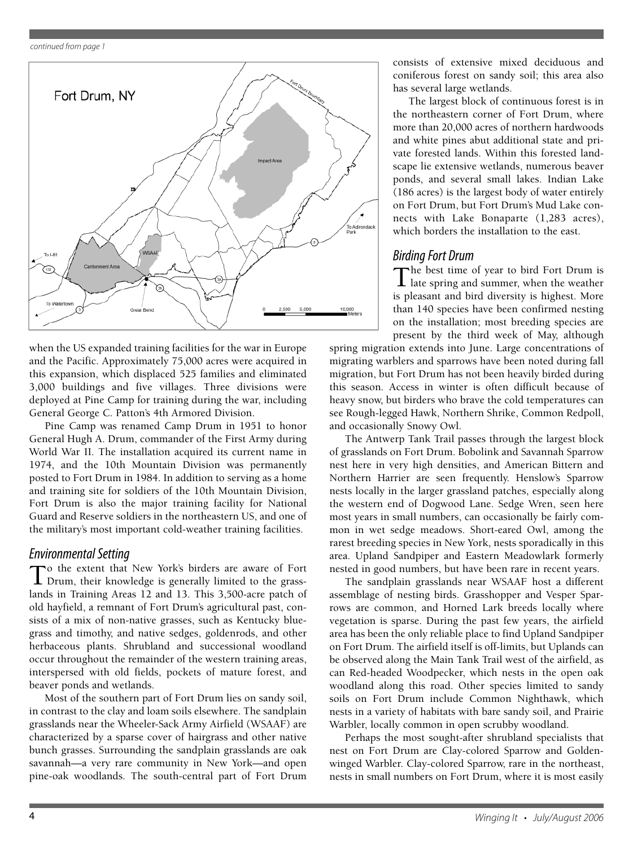

when the US expanded training facilities for the war in Europe and the Pacific. Approximately 75,000 acres were acquired in this expansion, which displaced 525 families and eliminated 3,000 buildings and five villages. Three divisions were deployed at Pine Camp for training during the war, including General George C. Patton's 4th Armored Division.

Pine Camp was renamed Camp Drum in 1951 to honor General Hugh A. Drum, commander of the First Army during World War II. The installation acquired its current name in 1974, and the 10th Mountain Division was permanently posted to Fort Drum in 1984. In addition to serving as a home and training site for soldiers of the 10th Mountain Division, Fort Drum is also the major training facility for National Guard and Reserve soldiers in the northeastern US, and one of the military's most important cold-weather training facilities.

**Environmental Setting**<br> **To** the extent that New York's birders are aware of Fort To the extent that New York's birders are aware of Fort Drum, their knowledge is generally limited to the grasslands in Training Areas 12 and 13. This 3,500-acre patch of old hayfield, a remnant of Fort Drum's agricultural past, consists of a mix of non-native grasses, such as Kentucky bluegrass and timothy, and native sedges, goldenrods, and other herbaceous plants. Shrubland and successional woodland occur throughout the remainder of the western training areas, interspersed with old fields, pockets of mature forest, and beaver ponds and wetlands.

Most of the southern part of Fort Drum lies on sandy soil, in contrast to the clay and loam soils elsewhere. The sandplain grasslands near the Wheeler-Sack Army Airfield (WSAAF) are characterized by a sparse cover of hairgrass and other native bunch grasses. Surrounding the sandplain grasslands are oak savannah—a very rare community in New York—and open pine-oak woodlands. The south-central part of Fort Drum consists of extensive mixed deciduous and coniferous forest on sandy soil; this area also has several large wetlands.

The largest block of continuous forest is in the northeastern corner of Fort Drum, where more than 20,000 acres of northern hardwoods and white pines abut additional state and private forested lands. Within this forested landscape lie extensive wetlands, numerous beaver ponds, and several small lakes. Indian Lake (186 acres) is the largest body of water entirely on Fort Drum, but Fort Drum's Mud Lake connects with Lake Bonaparte (1,283 acres), which borders the installation to the east.

Birding Fort Drum<br>The best time of year to bird Fort Drum is The best time of year to bird Fort Drum is late spring and summer, when the weather is pleasant and bird diversity is highest. More than 140 species have been confirmed nesting on the installation; most breeding species are present by the third week of May, although

spring migration extends into June. Large concentrations of migrating warblers and sparrows have been noted during fall migration, but Fort Drum has not been heavily birded during this season. Access in winter is often difficult because of heavy snow, but birders who brave the cold temperatures can see Rough-legged Hawk, Northern Shrike, Common Redpoll, and occasionally Snowy Owl.

The Antwerp Tank Trail passes through the largest block of grasslands on Fort Drum. Bobolink and Savannah Sparrow nest here in very high densities, and American Bittern and Northern Harrier are seen frequently. Henslow's Sparrow nests locally in the larger grassland patches, especially along the western end of Dogwood Lane. Sedge Wren, seen here most years in small numbers, can occasionally be fairly common in wet sedge meadows. Short-eared Owl, among the rarest breeding species in New York, nests sporadically in this area. Upland Sandpiper and Eastern Meadowlark formerly nested in good numbers, but have been rare in recent years.

The sandplain grasslands near WSAAF host a different assemblage of nesting birds. Grasshopper and Vesper Sparrows are common, and Horned Lark breeds locally where vegetation is sparse. During the past few years, the airfield area has been the only reliable place to find Upland Sandpiper on Fort Drum. The airfield itself is off-limits, but Uplands can be observed along the Main Tank Trail west of the airfield, as can Red-headed Woodpecker, which nests in the open oak woodland along this road. Other species limited to sandy soils on Fort Drum include Common Nighthawk, which nests in a variety of habitats with bare sandy soil, and Prairie Warbler, locally common in open scrubby woodland.

Perhaps the most sought-after shrubland specialists that nest on Fort Drum are Clay-colored Sparrow and Goldenwinged Warbler. Clay-colored Sparrow, rare in the northeast, nests in small numbers on Fort Drum, where it is most easily